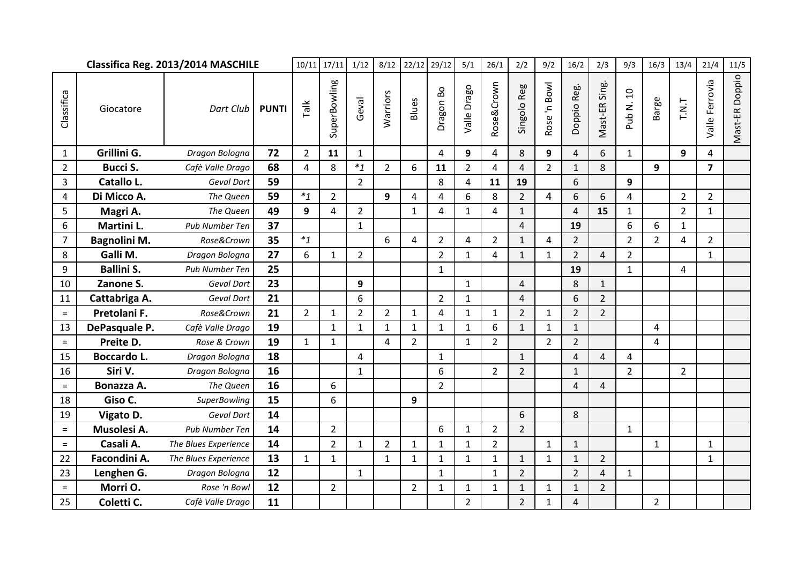|                | Classifica Reg. 2013/2014 MASCHILE |                      | 10/11        | 17/11          | 1/12           | 8/12           | 22/12          | 29/12          | 5/1            | 26/1           | 2/2            | 9/2            | 16/2           | 2/3            | 9/3               | 16/3           | 13/4           | 21/4           | 11/5                    |                |
|----------------|------------------------------------|----------------------|--------------|----------------|----------------|----------------|----------------|----------------|----------------|----------------|----------------|----------------|----------------|----------------|-------------------|----------------|----------------|----------------|-------------------------|----------------|
| Classifica     | Giocatore                          | Dart Club            | <b>PUNTI</b> | Talk           | SuperBowling   | Geval          | Warriors       | Blues          | Dragon Bo      | Valle Drago    | Rose&Crown     | Singolo Reg    | Rose 'n Bowl   | Doppio Reg.    | Sing.<br>Vlast-ER | Pub N. 10      | Barge          | T.N.T          | Valle Ferrovia          | Mast-ER Doppio |
| $\mathbf{1}$   | Grillini G.                        | Dragon Bologna       | 72           | $\overline{2}$ | 11             | $\mathbf{1}$   |                |                | 4              | 9              | 4              | 8              | 9              | $\overline{4}$ | 6                 | $\mathbf{1}$   |                | 9              | 4                       |                |
| $\overline{2}$ | <b>Bucci S.</b>                    | Cafè Valle Drago     | 68           | 4              | 8              | $*_{1}$        | $2^{\circ}$    | 6              | 11             | $\overline{2}$ | 4              | $\overline{4}$ | $\overline{2}$ | $\mathbf{1}$   | 8                 |                | 9              |                | $\overline{\mathbf{z}}$ |                |
| $\overline{3}$ | Catallo L.                         | Geval Dart           | 59           |                |                | $\overline{2}$ |                |                | 8              | 4              | 11             | 19             |                | 6              |                   | 9              |                |                |                         |                |
| 4              | Di Micco A.                        | The Queen            | 59           | $*_{1}$        | $\overline{2}$ |                | 9              | $\overline{4}$ | 4              | 6              | 8              | $\overline{2}$ | $\overline{4}$ | 6              | 6                 | 4              |                | $\overline{2}$ | $\overline{2}$          |                |
| 5              | Magri A.                           | The Queen            | 49           | 9              | $\overline{4}$ | $\overline{2}$ |                | $\mathbf{1}$   | 4              | $\mathbf{1}$   | 4              | $\mathbf{1}$   |                | $\overline{4}$ | 15                | $\mathbf{1}$   |                | $\overline{2}$ | $\mathbf{1}$            |                |
| 6              | Martini L.                         | Pub Number Ten       | 37           |                |                | $\mathbf{1}$   |                |                |                |                |                | $\overline{4}$ |                | 19             |                   | 6              | 6              | $\mathbf{1}$   |                         |                |
| $\overline{7}$ | Bagnolini M.                       | Rose&Crown           | 35           | $*_{1}$        |                |                | 6              | 4              | $\overline{2}$ | 4              | $\overline{2}$ | $\mathbf{1}$   | 4              | $\overline{2}$ |                   | $\overline{2}$ | $\overline{2}$ | $\overline{a}$ | $\overline{2}$          |                |
| 8              | Galli M.                           | Dragon Bologna       | 27           | 6              | $\mathbf{1}$   | $\overline{2}$ |                |                | $\overline{2}$ | $\mathbf{1}$   | 4              | $\mathbf{1}$   | $\mathbf{1}$   | $\overline{2}$ | 4                 | $\overline{2}$ |                |                | $\mathbf{1}$            |                |
| 9              | <b>Ballini S.</b>                  | Pub Number Ten       | 25           |                |                |                |                |                | $\mathbf{1}$   |                |                |                |                | 19             |                   | $\mathbf{1}$   |                | 4              |                         |                |
| 10             | Zanone S.                          | Geval Dart           | 23           |                |                | 9              |                |                |                | $\mathbf{1}$   |                | $\overline{4}$ |                | 8              | $\mathbf{1}$      |                |                |                |                         |                |
| 11             | Cattabriga A.                      | <b>Geval Dart</b>    | 21           |                |                | 6              |                |                | $\overline{2}$ | $\mathbf{1}$   |                | $\overline{4}$ |                | 6              | $\overline{2}$    |                |                |                |                         |                |
| $=$            | Pretolani F.                       | Rose&Crown           | 21           | $\overline{2}$ | $\mathbf{1}$   | $\overline{2}$ | $\overline{2}$ | $\mathbf{1}$   | 4              | $\mathbf 1$    | $\mathbf{1}$   | $\overline{2}$ | $\mathbf{1}$   | $\overline{2}$ | $\overline{2}$    |                |                |                |                         |                |
| 13             | DePasquale P.                      | Cafè Valle Drago     | 19           |                | $\mathbf{1}$   | $\mathbf{1}$   | $\mathbf{1}$   | $\mathbf{1}$   | $\mathbf{1}$   | $\mathbf{1}$   | 6              | $\mathbf{1}$   | $\mathbf{1}$   | $\mathbf{1}$   |                   |                | 4              |                |                         |                |
| $\equiv$       | Preite D.                          | Rose & Crown         | 19           | $\mathbf{1}$   | $\mathbf{1}$   |                | $\overline{4}$ | $\overline{2}$ |                | $\mathbf{1}$   | $\overline{2}$ |                | $\overline{2}$ | $\overline{2}$ |                   |                | 4              |                |                         |                |
| 15             | Boccardo L.                        | Dragon Bologna       | 18           |                |                | 4              |                |                | $\mathbf{1}$   |                |                | $\mathbf{1}$   |                | $\overline{4}$ | 4                 | 4              |                |                |                         |                |
| 16             | Siri V.                            | Dragon Bologna       | 16           |                |                | $\mathbf{1}$   |                |                | 6              |                | $\overline{2}$ | $\overline{2}$ |                | $\mathbf{1}$   |                   | $\overline{2}$ |                | $\overline{2}$ |                         |                |
| $=$            | Bonazza A.                         | The Queen            | 16           |                | 6              |                |                |                | $\overline{2}$ |                |                |                |                | 4              | 4                 |                |                |                |                         |                |
| 18             | Giso C.                            | <b>SuperBowling</b>  | 15           |                | 6              |                |                | 9              |                |                |                |                |                |                |                   |                |                |                |                         |                |
| 19             | Vigato D.                          | Geval Dart           | 14           |                |                |                |                |                |                |                |                | 6              |                | 8              |                   |                |                |                |                         |                |
| $=$            | Musolesi A.                        | Pub Number Ten       | 14           |                | $\overline{2}$ |                |                |                | 6              | 1              | 2              | $\overline{2}$ |                |                |                   | $\mathbf{1}$   |                |                |                         |                |
| $=$            | Casali A.                          | The Blues Experience | 14           |                | $\overline{2}$ | $\mathbf{1}$   | $\overline{2}$ | $\mathbf{1}$   | $\mathbf 1$    | $\mathbf{1}$   | $\overline{2}$ |                | $\mathbf{1}$   | $\mathbf{1}$   |                   |                | $\mathbf{1}$   |                | $\mathbf{1}$            |                |
| 22             | Facondini A.                       | The Blues Experience | 13           | $\mathbf{1}$   | $\mathbf{1}$   |                | $\mathbf{1}$   | $\mathbf{1}$   | $\mathbf{1}$   | $\mathbf{1}$   | $\mathbf{1}$   | $\mathbf{1}$   | $\mathbf{1}$   | $\mathbf{1}$   | $\overline{2}$    |                |                |                | $\mathbf{1}$            |                |
| 23             | Lenghen G.                         | Dragon Bologna       | 12           |                |                | $\mathbf{1}$   |                |                | $\mathbf{1}$   |                | $\mathbf{1}$   | $\overline{2}$ |                | $\overline{2}$ | $\overline{4}$    | $\mathbf{1}$   |                |                |                         |                |
| $\equiv$       | Morri O.                           | Rose 'n Bowl         | 12           |                | $\overline{2}$ |                |                | $\overline{2}$ | $\mathbf{1}$   | $\mathbf{1}$   | $\mathbf{1}$   | $\mathbf{1}$   | $\mathbf{1}$   | $\mathbf{1}$   | $\overline{2}$    |                |                |                |                         |                |
| 25             | Coletti C.                         | Cafè Valle Drago     | 11           |                |                |                |                |                |                | $\overline{2}$ |                | $\overline{2}$ | 1              | 4              |                   |                | $\overline{2}$ |                |                         |                |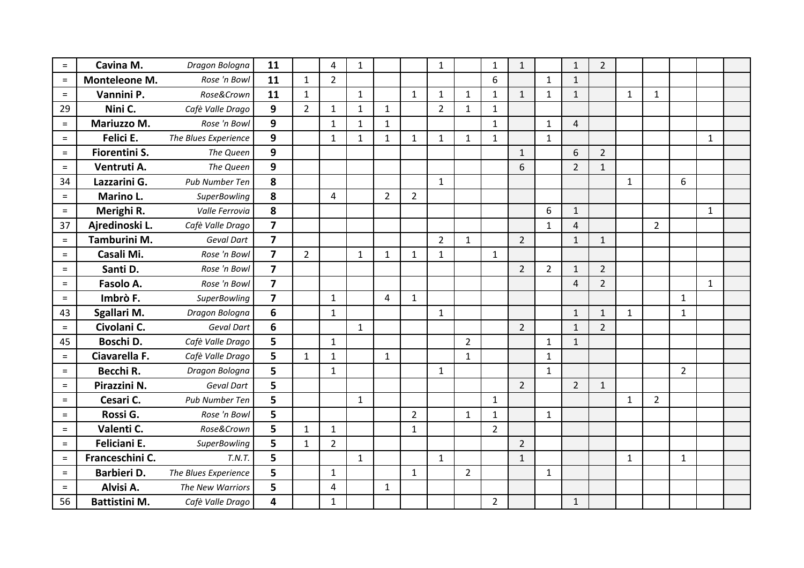| $=$      | Cavina M.            | Dragon Bologna       | 11                      |                | $\overline{4}$ | $\mathbf{1}$ |                |                | $\mathbf{1}$   |                | $1\,$          | $\mathbf{1}$   |                | $\mathbf{1}$   | $\overline{2}$ |              |                |                |              |  |
|----------|----------------------|----------------------|-------------------------|----------------|----------------|--------------|----------------|----------------|----------------|----------------|----------------|----------------|----------------|----------------|----------------|--------------|----------------|----------------|--------------|--|
| $\equiv$ | Monteleone M.        | Rose 'n Bowl         | 11                      | $\mathbf{1}$   | $\overline{2}$ |              |                |                |                |                | 6              |                | $\mathbf{1}$   | $\mathbf{1}$   |                |              |                |                |              |  |
| $=$      | Vannini P.           | Rose&Crown           | 11                      | $\mathbf{1}$   |                | $\mathbf{1}$ |                | $\mathbf{1}$   | $\mathbf{1}$   | $\mathbf{1}$   | $\mathbf{1}$   | $\mathbf{1}$   | $\mathbf{1}$   | $\mathbf{1}$   |                | $\mathbf{1}$ | $\mathbf{1}$   |                |              |  |
| 29       | Nini C.              | Cafè Valle Drago     | 9                       | $\overline{2}$ | $\mathbf{1}$   | $\mathbf{1}$ | $\mathbf{1}$   |                | $\overline{2}$ | $\mathbf{1}$   | $\mathbf{1}$   |                |                |                |                |              |                |                |              |  |
| $\equiv$ | Mariuzzo M.          | Rose 'n Bowl         | 9                       |                | $\mathbf{1}$   | $\mathbf{1}$ | $\mathbf{1}$   |                |                |                | $\mathbf{1}$   |                | $\mathbf{1}$   | $\overline{4}$ |                |              |                |                |              |  |
| $=$      | Felici E.            | The Blues Experience | 9                       |                | $\mathbf{1}$   | $\mathbf{1}$ | $\mathbf{1}$   | $\mathbf{1}$   | $\mathbf{1}$   | $\mathbf{1}$   | $\mathbf{1}$   |                | $\mathbf{1}$   |                |                |              |                |                | $\mathbf{1}$ |  |
| $=$      | Fiorentini S.        | The Queen            | 9                       |                |                |              |                |                |                |                |                | $\mathbf{1}$   |                | 6              | $\overline{2}$ |              |                |                |              |  |
| $=$      | Ventruti A.          | The Queen            | 9                       |                |                |              |                |                |                |                |                | 6              |                | $\overline{2}$ | $\mathbf{1}$   |              |                |                |              |  |
| 34       | Lazzarini G.         | Pub Number Ten       | 8                       |                |                |              |                |                | $\mathbf{1}$   |                |                |                |                |                |                | $\mathbf{1}$ |                | 6              |              |  |
| $=$      | Marino L.            | <b>SuperBowling</b>  | 8                       |                | 4              |              | $\overline{2}$ | $\overline{2}$ |                |                |                |                |                |                |                |              |                |                |              |  |
| $\equiv$ | Merighi R.           | Valle Ferrovia       | 8                       |                |                |              |                |                |                |                |                |                | 6              | $\mathbf{1}$   |                |              |                |                | $\mathbf{1}$ |  |
| 37       | Ajredinoski L.       | Cafè Valle Drago     | $\overline{7}$          |                |                |              |                |                |                |                |                |                | $\mathbf{1}$   | $\overline{4}$ |                |              | $\overline{2}$ |                |              |  |
| $=$      | Tamburini M.         | Geval Dart           | $\overline{\mathbf{z}}$ |                |                |              |                |                | $\overline{2}$ | $\mathbf{1}$   |                | $\overline{2}$ |                | $\mathbf{1}$   | $\mathbf{1}$   |              |                |                |              |  |
| $=$      | Casali Mi.           | Rose 'n Bowl         | $\overline{7}$          | $\overline{2}$ |                | $\mathbf{1}$ | $\mathbf{1}$   | $\mathbf{1}$   | $\mathbf{1}$   |                | $\mathbf{1}$   |                |                |                |                |              |                |                |              |  |
| $\equiv$ | Santi D.             | Rose 'n Bowl         | $\overline{7}$          |                |                |              |                |                |                |                |                | $\overline{2}$ | $\overline{2}$ | $\mathbf{1}$   | $\overline{2}$ |              |                |                |              |  |
| $\equiv$ | Fasolo A.            | Rose 'n Bowl         | $\overline{\mathbf{z}}$ |                |                |              |                |                |                |                |                |                |                | 4              | $\overline{2}$ |              |                |                | $\mathbf{1}$ |  |
| $\equiv$ | Imbrò F.             | <b>SuperBowling</b>  | $\overline{7}$          |                | $\mathbf{1}$   |              | $\overline{4}$ | $\mathbf{1}$   |                |                |                |                |                |                |                |              |                | $\mathbf{1}$   |              |  |
| 43       | Sgallari M.          | Dragon Bologna       | 6                       |                | $\mathbf{1}$   |              |                |                | $\mathbf{1}$   |                |                |                |                | $\mathbf{1}$   | $\mathbf{1}$   | $\mathbf{1}$ |                | $\mathbf{1}$   |              |  |
| $=$      | Civolani C.          | <b>Geval Dart</b>    | 6                       |                |                | $\mathbf{1}$ |                |                |                |                |                | $\overline{2}$ |                | $\mathbf{1}$   | $\overline{2}$ |              |                |                |              |  |
| 45       | Boschi D.            | Cafè Valle Drago     | 5                       |                | $\mathbf{1}$   |              |                |                |                | $\overline{2}$ |                |                | $\mathbf{1}$   | $\mathbf{1}$   |                |              |                |                |              |  |
| $=$      | Ciavarella F.        | Cafè Valle Drago     | 5                       | $\mathbf{1}$   | $\mathbf{1}$   |              | $\mathbf{1}$   |                |                | $\mathbf{1}$   |                |                | $\mathbf{1}$   |                |                |              |                |                |              |  |
| $=$      | Becchi R.            | Dragon Bologna       | 5                       |                | $\mathbf{1}$   |              |                |                | $\mathbf{1}$   |                |                |                | $\mathbf{1}$   |                |                |              |                | $\overline{2}$ |              |  |
| $=$      | Pirazzini N.         | Geval Dart           | 5                       |                |                |              |                |                |                |                |                | $\overline{2}$ |                | $\overline{2}$ | $\mathbf{1}$   |              |                |                |              |  |
| $=$      | Cesari C.            | Pub Number Ten       | 5                       |                |                | $\mathbf{1}$ |                |                |                |                | $\mathbf{1}$   |                |                |                |                | $\mathbf{1}$ | $\overline{2}$ |                |              |  |
| $=$      | Rossi G.             | Rose 'n Bowl         | 5                       |                |                |              |                | $\overline{2}$ |                | $\mathbf{1}$   | $\mathbf{1}$   |                | $\mathbf{1}$   |                |                |              |                |                |              |  |
| $\equiv$ | Valenti C.           | Rose&Crown           | 5                       | $\mathbf{1}$   | $\mathbf{1}$   |              |                | $\mathbf{1}$   |                |                | $\overline{2}$ |                |                |                |                |              |                |                |              |  |
| $=$      | Feliciani E.         | SuperBowling         | 5                       | $\mathbf{1}$   | $\overline{2}$ |              |                |                |                |                |                | $\overline{2}$ |                |                |                |              |                |                |              |  |
| $\equiv$ | Franceschini C.      | T.N.T.               | 5                       |                |                | $\mathbf{1}$ |                |                | $\mathbf{1}$   |                |                | $\mathbf{1}$   |                |                |                | $\mathbf{1}$ |                | $\mathbf{1}$   |              |  |
| $=$      | Barbieri D.          | The Blues Experience | 5                       |                | $\mathbf{1}$   |              |                | $\mathbf{1}$   |                | $\overline{2}$ |                |                | $\mathbf{1}$   |                |                |              |                |                |              |  |
| $=$      | Alvisi A.            | The New Warriors     | 5                       |                | $\overline{4}$ |              | $\mathbf{1}$   |                |                |                |                |                |                |                |                |              |                |                |              |  |
| 56       | <b>Battistini M.</b> | Cafè Valle Drago     | 4                       |                | $\mathbf{1}$   |              |                |                |                |                | $\overline{2}$ |                |                | $\mathbf{1}$   |                |              |                |                |              |  |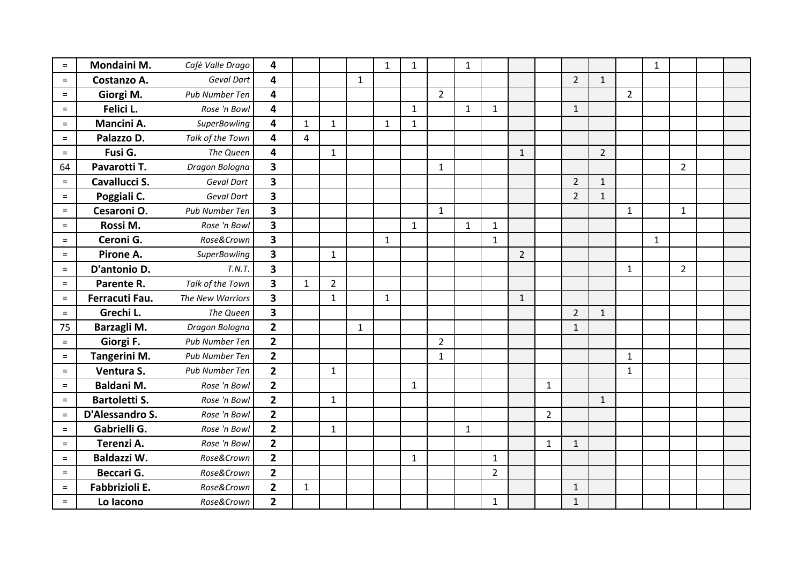| $=$      | Mondaini M.          | Cafè Valle Drago    | 4                       |              |                |              | $\mathbf{1}$ | $\mathbf{1}$ |                | $\mathbf{1}$ |                |                |                |                |                |                | $\mathbf 1$  |                |  |
|----------|----------------------|---------------------|-------------------------|--------------|----------------|--------------|--------------|--------------|----------------|--------------|----------------|----------------|----------------|----------------|----------------|----------------|--------------|----------------|--|
| $=$      | Costanzo A.          | <b>Geval Dart</b>   | 4                       |              |                | $\mathbf{1}$ |              |              |                |              |                |                |                | $\overline{2}$ | $\mathbf{1}$   |                |              |                |  |
| $=$      | Giorgi M.            | Pub Number Ten      | 4                       |              |                |              |              |              | $\overline{2}$ |              |                |                |                |                |                | $\overline{2}$ |              |                |  |
| $=$      | Felici L.            | Rose 'n Bowl        | 4                       |              |                |              |              | $\mathbf{1}$ |                | $\mathbf{1}$ | 1              |                |                | $\mathbf{1}$   |                |                |              |                |  |
| $=$      | Mancini A.           | <b>SuperBowling</b> | 4                       | $\mathbf{1}$ | $\mathbf{1}$   |              | $\mathbf{1}$ | $\mathbf{1}$ |                |              |                |                |                |                |                |                |              |                |  |
| $\equiv$ | Palazzo D.           | Talk of the Town    | 4                       | 4            |                |              |              |              |                |              |                |                |                |                |                |                |              |                |  |
| $=$      | Fusi G.              | The Queen           | 4                       |              | $\mathbf{1}$   |              |              |              |                |              |                | $\mathbf{1}$   |                |                | $\overline{2}$ |                |              |                |  |
| 64       | Pavarotti T.         | Dragon Bologna      | $\overline{\mathbf{3}}$ |              |                |              |              |              | $\mathbf{1}$   |              |                |                |                |                |                |                |              | $\overline{2}$ |  |
| $=$      | Cavallucci S.        | Geval Dart          | $\overline{\mathbf{3}}$ |              |                |              |              |              |                |              |                |                |                | $\overline{2}$ | $1\,$          |                |              |                |  |
| $=$      | Poggiali C.          | Geval Dart          | 3                       |              |                |              |              |              |                |              |                |                |                | $\overline{2}$ | $\mathbf{1}$   |                |              |                |  |
| $\equiv$ | Cesaroni O.          | Pub Number Ten      | 3                       |              |                |              |              |              | $\mathbf{1}$   |              |                |                |                |                |                | $\mathbf{1}$   |              | $\mathbf{1}$   |  |
| $=$      | Rossi M.             | Rose 'n Bowl        | $\overline{\mathbf{3}}$ |              |                |              |              | $\mathbf{1}$ |                | $\mathbf{1}$ | $\mathbf{1}$   |                |                |                |                |                |              |                |  |
| $\equiv$ | Ceroni G.            | Rose&Crown          | $\overline{\mathbf{3}}$ |              |                |              | $\mathbf{1}$ |              |                |              | $\mathbf{1}$   |                |                |                |                |                | $\mathbf{1}$ |                |  |
| $=$      | Pirone A.            | <b>SuperBowling</b> | $\overline{\mathbf{3}}$ |              | $\mathbf{1}$   |              |              |              |                |              |                | $\overline{2}$ |                |                |                |                |              |                |  |
| $=$      | D'antonio D.         | T.N.T.              | $\overline{\mathbf{3}}$ |              |                |              |              |              |                |              |                |                |                |                |                | $\mathbf{1}$   |              | $\overline{2}$ |  |
| $=$      | Parente R.           | Talk of the Town    | 3                       | $\mathbf{1}$ | $\overline{2}$ |              |              |              |                |              |                |                |                |                |                |                |              |                |  |
| $=$      | Ferracuti Fau.       | The New Warriors    | $\overline{\mathbf{3}}$ |              | $\mathbf{1}$   |              | $\mathbf{1}$ |              |                |              |                | $\mathbf{1}$   |                |                |                |                |              |                |  |
| $\equiv$ | Grechi L.            | The Queen           | $\overline{\mathbf{3}}$ |              |                |              |              |              |                |              |                |                |                | $\overline{2}$ | $\mathbf{1}$   |                |              |                |  |
| 75       | Barzagli M.          | Dragon Bologna      | $\overline{2}$          |              |                | $\mathbf{1}$ |              |              |                |              |                |                |                | $\mathbf{1}$   |                |                |              |                |  |
| $=$      | Giorgi F.            | Pub Number Ten      | $\overline{2}$          |              |                |              |              |              | $\overline{2}$ |              |                |                |                |                |                |                |              |                |  |
| $=$      | Tangerini M.         | Pub Number Ten      | $\mathbf{2}$            |              |                |              |              |              | $\mathbf 1$    |              |                |                |                |                |                | $\mathbf{1}$   |              |                |  |
| $=$      | Ventura S.           | Pub Number Ten      | $\overline{2}$          |              | $\mathbf{1}$   |              |              |              |                |              |                |                |                |                |                | $\mathbf{1}$   |              |                |  |
| $\equiv$ | <b>Baldani M.</b>    | Rose 'n Bowl        | $\overline{2}$          |              |                |              |              | $\mathbf{1}$ |                |              |                |                | $\mathbf{1}$   |                |                |                |              |                |  |
| $=$      | <b>Bartoletti S.</b> | Rose 'n Bowl        | $\overline{2}$          |              | $\mathbf{1}$   |              |              |              |                |              |                |                |                |                | $\mathbf{1}$   |                |              |                |  |
| $\equiv$ | D'Alessandro S.      | Rose 'n Bowl        | $\overline{2}$          |              |                |              |              |              |                |              |                |                | $\overline{2}$ |                |                |                |              |                |  |
| $=$      | Gabrielli G.         | Rose 'n Bowl        | $\mathbf{2}$            |              | $\mathbf{1}$   |              |              |              |                | $\mathbf{1}$ |                |                |                |                |                |                |              |                |  |
| $=$      | Terenzi A.           | Rose 'n Bowl        | $\overline{2}$          |              |                |              |              |              |                |              |                |                | $\mathbf{1}$   | $\mathbf{1}$   |                |                |              |                |  |
| $=$      | Baldazzi W.          | Rose&Crown          | $\overline{2}$          |              |                |              |              | $\mathbf{1}$ |                |              | $\mathbf{1}$   |                |                |                |                |                |              |                |  |
| $=$      | Beccari G.           | Rose&Crown          | $\overline{2}$          |              |                |              |              |              |                |              | $\overline{2}$ |                |                |                |                |                |              |                |  |
| $=$      | Fabbrizioli E.       | Rose&Crown          | $\overline{2}$          | $\mathbf{1}$ |                |              |              |              |                |              |                |                |                | $\mathbf{1}$   |                |                |              |                |  |
| $=$      | Lo lacono            | Rose&Crown          | $\overline{2}$          |              |                |              |              |              |                |              | 1              |                |                | $\mathbf{1}$   |                |                |              |                |  |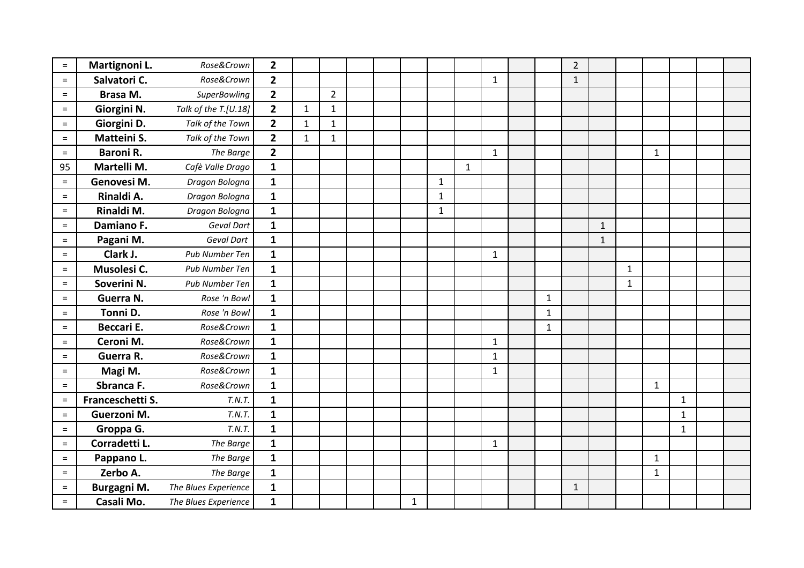| $=$      | Martignoni L.     | Rose&Crown           | $\overline{2}$ |              |                |  |             |              |              |              |              | $\overline{2}$ |              |              |             |              |  |
|----------|-------------------|----------------------|----------------|--------------|----------------|--|-------------|--------------|--------------|--------------|--------------|----------------|--------------|--------------|-------------|--------------|--|
| $=$      | Salvatori C.      | Rose&Crown           | $\overline{2}$ |              |                |  |             |              |              | $\mathbf{1}$ |              | $\mathbf{1}$   |              |              |             |              |  |
| $=$      | Brasa M.          | <b>SuperBowling</b>  | $\mathbf{2}$   |              | $\overline{2}$ |  |             |              |              |              |              |                |              |              |             |              |  |
| $=$      | Giorgini N.       | Talk of the T.[U.18] | $\overline{2}$ | $\mathbf{1}$ | $\mathbf{1}$   |  |             |              |              |              |              |                |              |              |             |              |  |
| $=$      | Giorgini D.       | Talk of the Town     | $\overline{2}$ | $\mathbf{1}$ | $\mathbf{1}$   |  |             |              |              |              |              |                |              |              |             |              |  |
| $=$      | Matteini S.       | Talk of the Town     | $\overline{2}$ | $\mathbf{1}$ | $\mathbf{1}$   |  |             |              |              |              |              |                |              |              |             |              |  |
| $=$      | <b>Baroni R.</b>  | The Barge            | $\overline{2}$ |              |                |  |             |              |              | $\mathbf{1}$ |              |                |              |              | 1           |              |  |
| 95       | Martelli M.       | Cafè Valle Drago     | $\mathbf{1}$   |              |                |  |             |              | $\mathbf{1}$ |              |              |                |              |              |             |              |  |
| $=$      | Genovesi M.       | Dragon Bologna       | $\mathbf{1}$   |              |                |  |             | $\mathbf{1}$ |              |              |              |                |              |              |             |              |  |
| $=$      | Rinaldi A.        | Dragon Bologna       | $\mathbf{1}$   |              |                |  |             | 1            |              |              |              |                |              |              |             |              |  |
| $=$      | Rinaldi M.        | Dragon Bologna       | $\mathbf{1}$   |              |                |  |             | $\mathbf{1}$ |              |              |              |                |              |              |             |              |  |
| $=$      | Damiano F.        | <b>Geval Dart</b>    | $\mathbf{1}$   |              |                |  |             |              |              |              |              |                | $\mathbf{1}$ |              |             |              |  |
| $=$      | Pagani M.         | Geval Dart           | $\mathbf{1}$   |              |                |  |             |              |              |              |              |                | $\mathbf{1}$ |              |             |              |  |
| $=$      | Clark J.          | Pub Number Ten       | $\mathbf{1}$   |              |                |  |             |              |              | $\mathbf{1}$ |              |                |              |              |             |              |  |
| $=$      | Musolesi C.       | Pub Number Ten       | $\mathbf{1}$   |              |                |  |             |              |              |              |              |                |              | $\mathbf{1}$ |             |              |  |
| $=$      | Soverini N.       | Pub Number Ten       | $\mathbf{1}$   |              |                |  |             |              |              |              |              |                |              | $\mathbf{1}$ |             |              |  |
| $=$      | Guerra N.         | Rose 'n Bowl         | $\mathbf{1}$   |              |                |  |             |              |              |              | $\mathbf{1}$ |                |              |              |             |              |  |
| $=$      | Tonni D.          | Rose 'n Bowl         | $\mathbf{1}$   |              |                |  |             |              |              |              | $\mathbf{1}$ |                |              |              |             |              |  |
| $=$      | <b>Beccari E.</b> | Rose&Crown           | $\mathbf{1}$   |              |                |  |             |              |              |              | $\mathbf{1}$ |                |              |              |             |              |  |
| $=$      | Ceroni M.         | Rose&Crown           | $\mathbf{1}$   |              |                |  |             |              |              | $\mathbf{1}$ |              |                |              |              |             |              |  |
| $=$      | Guerra R.         | Rose&Crown           | $\mathbf{1}$   |              |                |  |             |              |              | $\mathbf{1}$ |              |                |              |              |             |              |  |
| $=$      | Magi M.           | Rose&Crown           | $\mathbf{1}$   |              |                |  |             |              |              | 1            |              |                |              |              |             |              |  |
| $=$      | Sbranca F.        | Rose&Crown           | $\mathbf{1}$   |              |                |  |             |              |              |              |              |                |              |              | $\mathbf 1$ |              |  |
| $\equiv$ | Franceschetti S.  | T.N.T.               | $\mathbf{1}$   |              |                |  |             |              |              |              |              |                |              |              |             | $\mathbf{1}$ |  |
| $\equiv$ | Guerzoni M.       | T.N.T.               | $\mathbf{1}$   |              |                |  |             |              |              |              |              |                |              |              |             | $\mathbf{1}$ |  |
| $\equiv$ | Groppa G.         | T.N.T.               | $\mathbf{1}$   |              |                |  |             |              |              |              |              |                |              |              |             | 1            |  |
| $=$      | Corradetti L.     | The Barge            | $\mathbf{1}$   |              |                |  |             |              |              | $\mathbf{1}$ |              |                |              |              |             |              |  |
| $=$      | Pappano L.        | The Barge            | $\mathbf{1}$   |              |                |  |             |              |              |              |              |                |              |              | $\mathbf 1$ |              |  |
| $=$      | Zerbo A.          | The Barge            | $\mathbf{1}$   |              |                |  |             |              |              |              |              |                |              |              | 1           |              |  |
| $=$      | Burgagni M.       | The Blues Experience | $\mathbf{1}$   |              |                |  |             |              |              |              |              | $\mathbf{1}$   |              |              |             |              |  |
| $=$      | Casali Mo.        | The Blues Experience | $\mathbf{1}$   |              |                |  | $\mathbf 1$ |              |              |              |              |                |              |              |             |              |  |